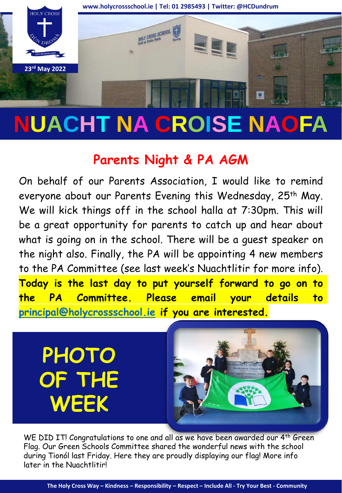

# **NUACHT NA CROISE NAOFA**

## **Parents Night & PA AGM**

On behalf of our Parents Association, I would like to remind everyone about our Parents Evening this Wednesday, 25<sup>th</sup> May. We will kick things off in the school halla at 7:30pm. This will be a great opportunity for parents to catch up and hear about what is going on in the school. There will be a guest speaker on the night also. Finally, the PA will be appointing 4 new members to the PA Committee (see last week's Nuachtlitir for more info). **Today is the last day to put yourself forward to go on to the PA Committee. Please email your details to [principal@holycrossschool.ie](mailto:principal@holycrossschool.ie) if you are interested.**

**PHOTO OF THE WEEK**



WE DID IT! Congratulations to one and all as we have been awarded our 4<sup>th</sup> Green Flag. Our Green Schools Committee shared the wonderful news with the school during Tionól last Friday. Here they are proudly displaying our flag! More info later in the Nuachtlitir!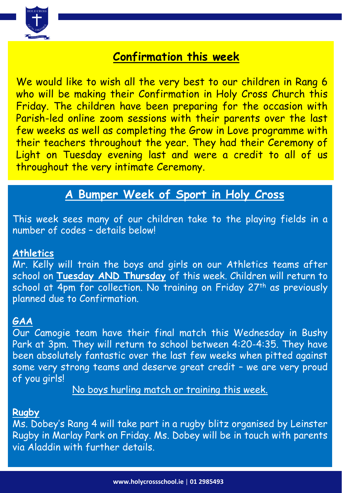

## **Confirmation this week**

We would like to wish all the very best to our children in Rang 6 who will be making their Confirmation in Holy Cross Church this Friday. The children have been preparing for the occasion with Parish-led online zoom sessions with their parents over the last few weeks as well as completing the Grow in Love programme with their teachers throughout the year. They had their Ceremony of Light on Tuesday evening last and were a credit to all of us throughout the very intimate Ceremony.

## **A Bumper Week of Sport in Holy Cross**

This week sees many of our children take to the playing fields in a number of codes – details below!

#### **Athletics**

Mr. Kelly will train the boys and girls on our Athletics teams after school on **Tuesday AND Thursday** of this week. Children will return to school at 4pm for collection. No training on Friday 27<sup>th</sup> as previously planned due to Confirmation.

#### **GAA**

Our Camogie team have their final match this Wednesday in Bushy Park at 3pm. They will return to school between 4:20-4:35. They have been absolutely fantastic over the last few weeks when pitted against some very strong teams and deserve great credit – we are very proud of you girls!

No boys hurling match or training this week.

#### **Rugby**

Ms. Dobey's Rang 4 will take part in a rugby blitz organised by Leinster Rugby in Marlay Park on Friday. Ms. Dobey will be in touch with parents via Aladdin with further details.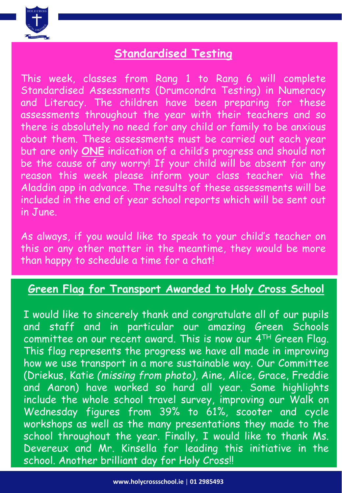

## **Standardised Testing**

This week, classes from Rang 1 to Rang 6 will complete Standardised Assessments (Drumcondra Testing) in Numeracy and Literacy. The children have been preparing for these assessments throughout the year with their teachers and so there is absolutely no need for any child or family to be anxious about them. These assessments must be carried out each year but are only **ONE** indication of a child's progress and should not be the cause of any worry! If your child will be absent for any reason this week please inform your class teacher via the Aladdin app in advance. The results of these assessments will be included in the end of year school reports which will be sent out in June.

As always, if you would like to speak to your child's teacher on this or any other matter in the meantime, they would be more than happy to schedule a time for a chat!

## **Green Flag for Transport Awarded to Holy Cross School**

I would like to sincerely thank and congratulate all of our pupils and staff and in particular our amazing Green Schools committee on our recent award. This is now our 4TH Green Flag. This flag represents the progress we have all made in improving how we use transport in a more sustainable way. Our Committee (Driekus, Katie *(missing from photo)*, Aine, Alice, Grace, Freddie and Aaron) have worked so hard all year. Some highlights include the whole school travel survey, improving our Walk on Wednesday figures from 39% to 61%, scooter and cycle workshops as well as the many presentations they made to the school throughout the year. Finally, I would like to thank Ms. Devereux and Mr. Kinsella for leading this initiative in the school. Another brilliant day for Holy Cross!!